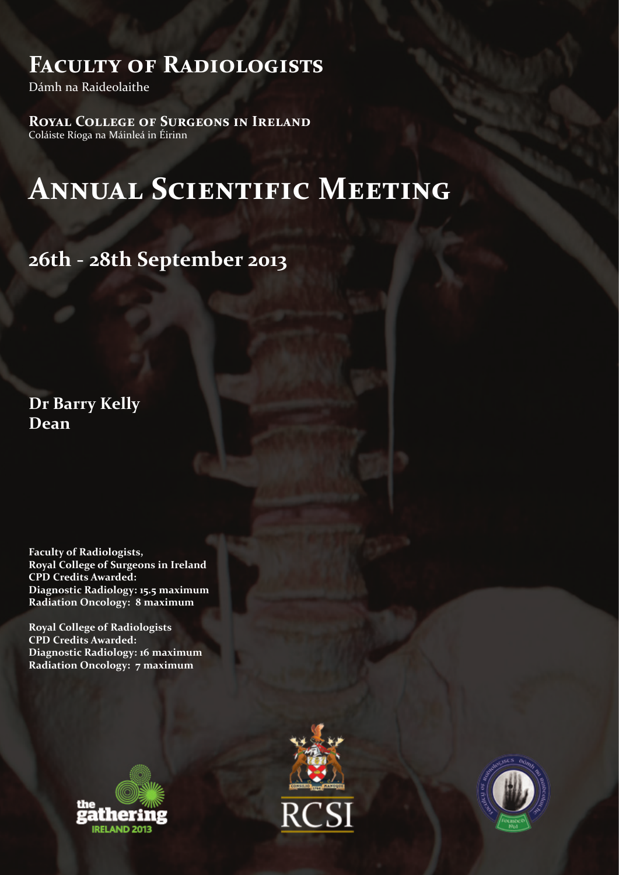# **Faculty of Radiologists**

Dámh na Raideolaithe

**Royal College of Surgeons in Ireland** Coláiste Ríoga na Máinleá in Éirinn

# **Annual Scientific Meeting**

**26th - 28th September 2013**

**Dr Barry Kelly Dean** 

**Faculty of Radiologists, Royal College of Surgeons in Ireland CPD Credits Awarded: Diagnostic Radiology: 15.5 maximum Radiation Oncology: 8 maximum**

**Royal College of Radiologists CPD Credits Awarded: Diagnostic Radiology: 16 maximum Radiation Oncology: 7 maximum**





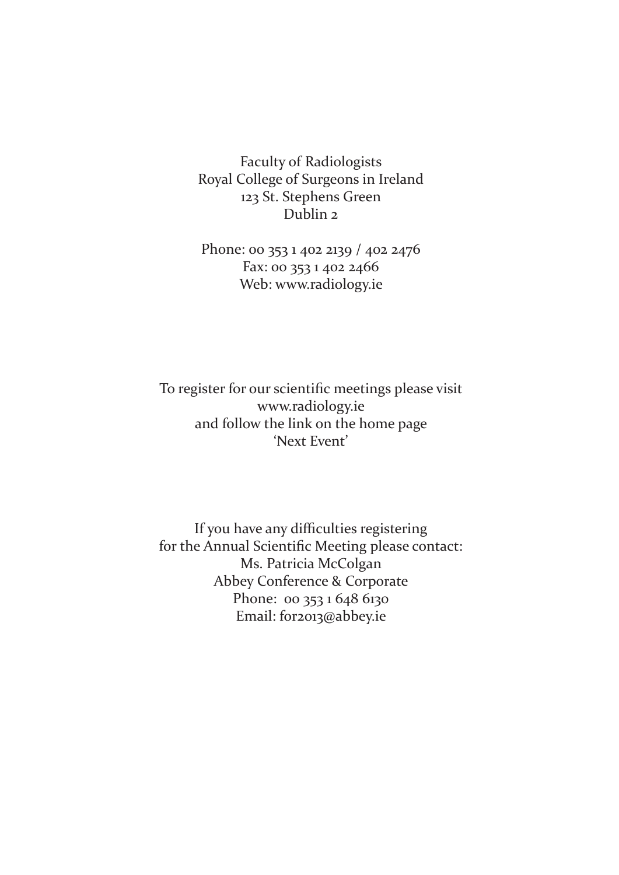Faculty of Radiologists Royal College of Surgeons in Ireland 123 St. Stephens Green Dublin 2

Phone: 00 353 1 402 2139 / 402 2476 Fax: 00 353 1 402 2466 Web: www.radiology.ie

To register for our scientific meetings please visit www.radiology.ie and follow the link on the home page 'Next Event'

If you have any difficulties registering for the Annual Scientific Meeting please contact: Ms. Patricia McColgan Abbey Conference & Corporate Phone: 00 353 1 648 6130 Email: for2013@abbey.ie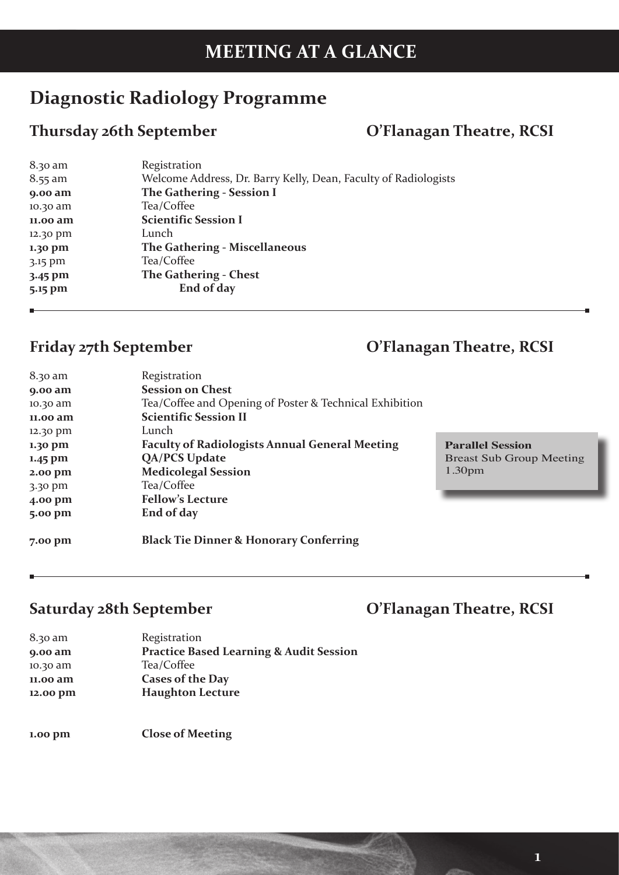# **MEETING AT A GLANCE**

## **Diagnostic Radiology Programme**

## **Thursday 26th September O'Flanagan Theatre, RCSI**

| 8.30 am   | Registration                                                    |
|-----------|-----------------------------------------------------------------|
| $8.55$ am | Welcome Address, Dr. Barry Kelly, Dean, Faculty of Radiologists |
| 9.00 am   | The Gathering - Session I                                       |
| 10.30 am  | Tea/Coffee                                                      |
| 11.00 am  | <b>Scientific Session I</b>                                     |
| 12.30 pm  | Lunch                                                           |
| 1.30 pm   | <b>The Gathering - Miscellaneous</b>                            |
| 3.15 pm   | Tea/Coffee                                                      |
| $3.45$ pm | The Gathering - Chest                                           |
| 5.15 pm   | End of day                                                      |
|           |                                                                 |

## **Friday 27th September O'Flanagan Theatre, RCSI**

| 8.30 am   | Registration                                            |                                 |
|-----------|---------------------------------------------------------|---------------------------------|
| $9.00$ am | <b>Session on Chest</b>                                 |                                 |
| 10.30 am  | Tea/Coffee and Opening of Poster & Technical Exhibition |                                 |
| 11.00 am  | <b>Scientific Session II</b>                            |                                 |
| 12.30 pm  | Lunch                                                   |                                 |
| $1.30$ pm | <b>Faculty of Radiologists Annual General Meeting</b>   | <b>Parallel Session</b>         |
| $1.45$ pm | <b>QA/PCS Update</b>                                    | <b>Breast Sub Group Meeting</b> |
| 2.00 pm   | <b>Medicolegal Session</b>                              | 1.30 <sub>pm</sub>              |
| $3.30$ pm | Tea/Coffee                                              |                                 |
| 4.00 pm   | <b>Fellow's Lecture</b>                                 |                                 |
| 5.00 pm   | End of day                                              |                                 |
| 7.00 pm   | <b>Black Tie Dinner &amp; Honorary Conferring</b>       |                                 |

### **Saturday 28th September O'Flanagan Theatre, RCSI**

| 8.30 am  | Registration                                       |
|----------|----------------------------------------------------|
| 9.00 am  | <b>Practice Based Learning &amp; Audit Session</b> |
| 10.30 am | Tea/Coffee                                         |
| 11.00 am | <b>Cases of the Day</b>                            |
| 12.00 pm | <b>Haughton Lecture</b>                            |
|          |                                                    |
|          |                                                    |

**1.00 pm Close of Meeting**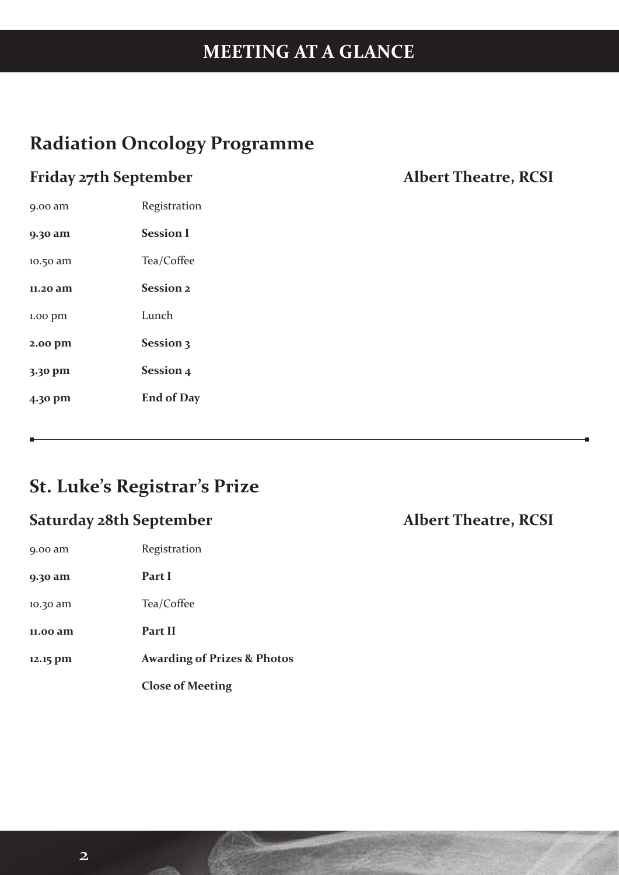# **MEETING AT A GLANCE**

## **Radiation Oncology Programme**

## **Friday 27th September Albert Theatre, RCSI**

| 9.00 am            | Registration      |
|--------------------|-------------------|
| 9.30 am            | <b>Session I</b>  |
| 10.50 am           | Tea/Coffee        |
| 11.20 am           | Session 2         |
| $1.00$ $\bar{p}$ m | Lunch             |
| 2.00 pm            | Session 3         |
| 3.30 pm            | <b>Session 4</b>  |
| 4.30 pm            | <b>End of Day</b> |

## **St. Luke's Registrar's Prize**

## **Saturday 28th September Albert Theatre, RCSI**

| $9.00$ am | Registration                           |
|-----------|----------------------------------------|
| 9.30 am   | Part I                                 |
| 10.30 am  | Tea/Coffee                             |
| 11.00 am  | Part II                                |
| 12.15 pm  | <b>Awarding of Prizes &amp; Photos</b> |
|           | <b>Close of Meeting</b>                |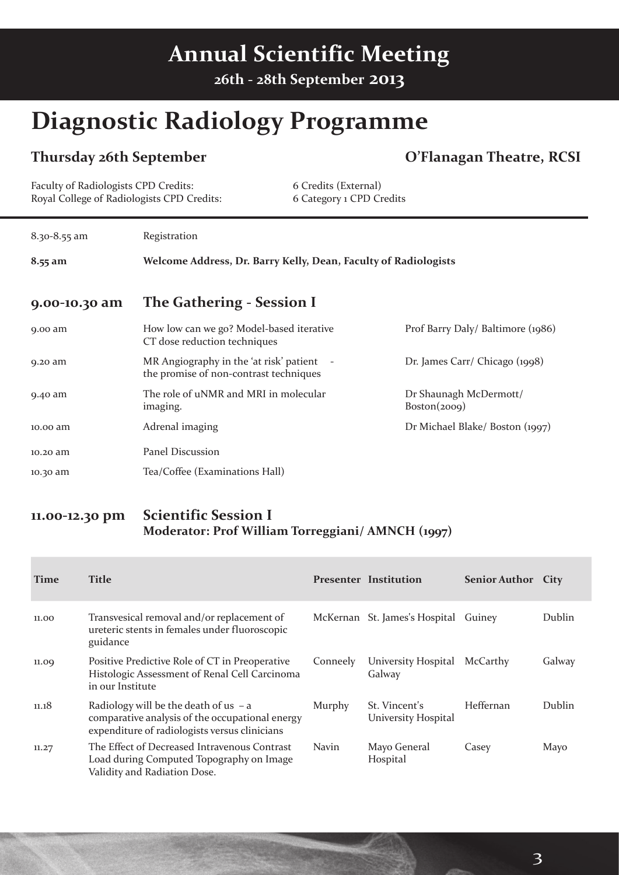# **Annual Scientific Meeting**

**26th - 28th September 2013**

# **Diagnostic Radiology Programme**

### **Thursday 26th September O'Flanagan Theatre, RCSI**

| Faculty of Radiologists CPD Credits:<br>Royal College of Radiologists CPD Credits: |                                                                                   | 6 Credits (External)<br>6 Category 1 CPD Credits |                                        |
|------------------------------------------------------------------------------------|-----------------------------------------------------------------------------------|--------------------------------------------------|----------------------------------------|
| $8.30 - 8.55$ am                                                                   | Registration                                                                      |                                                  |                                        |
| $8.55$ am                                                                          | Welcome Address, Dr. Barry Kelly, Dean, Faculty of Radiologists                   |                                                  |                                        |
| 9.00-10.30 am                                                                      | The Gathering - Session I                                                         |                                                  |                                        |
| 9.00 am                                                                            | How low can we go? Model-based iterative<br>CT dose reduction techniques          |                                                  | Prof Barry Daly/ Baltimore (1986)      |
| 9.20 am                                                                            | MR Angiography in the 'at risk' patient<br>the promise of non-contrast techniques |                                                  | Dr. James Carr/ Chicago (1998)         |
| 9.40 am                                                                            | The role of uNMR and MRI in molecular<br>imaging.                                 |                                                  | Dr Shaunagh McDermott/<br>Boston(2009) |
| 10.00 am                                                                           | Adrenal imaging                                                                   |                                                  | Dr Michael Blake/Boston (1997)         |
| 10.20 am                                                                           | Panel Discussion                                                                  |                                                  |                                        |
| 10.30 am                                                                           | Tea/Coffee (Examinations Hall)                                                    |                                                  |                                        |

#### **11.00-12.30 pm Scientific Session I Moderator: Prof William Torreggiani/ AMNCH (1997)**

| <b>Time</b> | <b>Title</b>                                                                                                                                |               | <b>Presenter Institution</b>         | <b>Senior Author City</b> |        |
|-------------|---------------------------------------------------------------------------------------------------------------------------------------------|---------------|--------------------------------------|---------------------------|--------|
| 11.00       | Transvesical removal and/or replacement of<br>ureteric stents in females under fluoroscopic<br>guidance                                     |               | McKernan St. James's Hospital Guiney |                           | Dublin |
| 11.09       | Positive Predictive Role of CT in Preoperative<br>Histologic Assessment of Renal Cell Carcinoma<br>in our Institute                         | Conneely      | University Hospital<br>Galway        | McCarthy                  | Galway |
| 11.18       | Radiology will be the death of us $-$ a<br>comparative analysis of the occupational energy<br>expenditure of radiologists versus clinicians | <b>Murphy</b> | St. Vincent's<br>University Hospital | Heffernan                 | Dublin |
| 11.27       | The Effect of Decreased Intravenous Contrast<br>Load during Computed Topography on Image<br>Validity and Radiation Dose.                    | <b>Navin</b>  | Mayo General<br>Hospital             | Casey                     | Mayo   |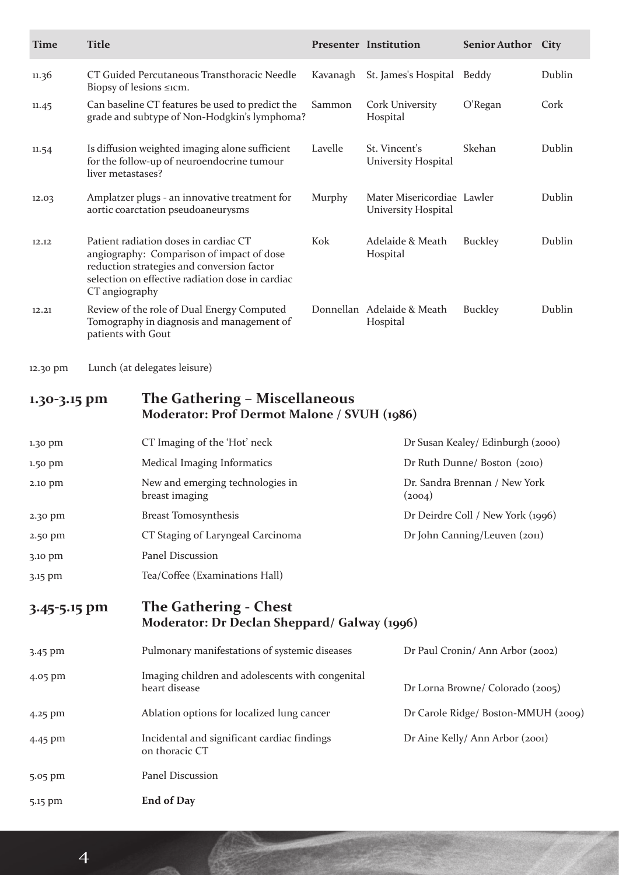| <b>Time</b> | <b>Title</b>                                                                                                                                                                                           |          | <b>Presenter Institution</b>                      | <b>Senior Author City</b> |        |
|-------------|--------------------------------------------------------------------------------------------------------------------------------------------------------------------------------------------------------|----------|---------------------------------------------------|---------------------------|--------|
| 11.36       | CT Guided Percutaneous Transthoracic Needle<br>Biopsy of lesions $\leq$ icm.                                                                                                                           | Kavanagh | St. James's Hospital                              | Beddy                     | Dublin |
| 11.45       | Can baseline CT features be used to predict the<br>grade and subtype of Non-Hodgkin's lymphoma?                                                                                                        | Sammon   | <b>Cork University</b><br>Hospital                | O'Regan                   | Cork   |
| 11.54       | Is diffusion weighted imaging alone sufficient<br>for the follow-up of neuroendocrine tumour<br>liver metastases?                                                                                      | Lavelle  | St. Vincent's<br>University Hospital              | Skehan                    | Dublin |
| 12.03       | Amplatzer plugs - an innovative treatment for<br>aortic coarctation pseudoaneurysms                                                                                                                    | Murphy   | Mater Misericordiae Lawler<br>University Hospital |                           | Dublin |
| 12.12       | Patient radiation doses in cardiac CT<br>angiography: Comparison of impact of dose<br>reduction strategies and conversion factor<br>selection on effective radiation dose in cardiac<br>CT angiography | Kok      | Adelaide & Meath<br>Hospital                      | Buckley                   | Dublin |
| 12.21       | Review of the role of Dual Energy Computed<br>Tomography in diagnosis and management of<br>patients with Gout                                                                                          |          | Donnellan Adelaide & Meath<br>Hospital            | Buckley                   | Dublin |

12.30 pm Lunch (at delegates leisure)

### **1.30-3.15 pm The Gathering – Miscellaneous Moderator: Prof Dermot Malone / SVUH (1986)**

| 1.30 pm      | CT Imaging of the 'Hot' neck                                                 | Dr Susan Kealey/ Edinburgh (2000)       |
|--------------|------------------------------------------------------------------------------|-----------------------------------------|
| 1.50 pm      | Medical Imaging Informatics                                                  | Dr Ruth Dunne/ Boston (2010)            |
| 2.10 pm      | New and emerging technologies in<br>breast imaging                           | Dr. Sandra Brennan / New York<br>(2004) |
| 2.30 pm      | <b>Breast Tomosynthesis</b>                                                  | Dr Deirdre Coll / New York (1996)       |
| 2.50 pm      | CT Staging of Laryngeal Carcinoma                                            | Dr John Canning/Leuven (2011)           |
| 3.10 pm      | Panel Discussion                                                             |                                         |
| 3.15 pm      | Tea/Coffee (Examinations Hall)                                               |                                         |
| 3.45-5.15 pm | <b>The Gathering - Chest</b><br>Moderator: Dr Declan Sheppard/ Galway (1996) |                                         |
| 3.45 pm      | Pulmonary manifestations of systemic diseases                                | Dr Paul Cronin/ Ann Arbor (2002)        |
| 4.05 pm      | Imaging children and adolescents with congenital<br>heart disease            | Dr Lorna Browne/ Colorado (2005)        |
| 4.25 pm      | Ablation options for localized lung cancer                                   | Dr Carole Ridge/ Boston-MMUH (2009)     |

4.45 pm Incidental and significant cardiac findings Dr Aine Kelly/ Ann Arbor (2001)

5.15 pm **End of Day**

5.05 pm Panel Discussion

on thoracic CT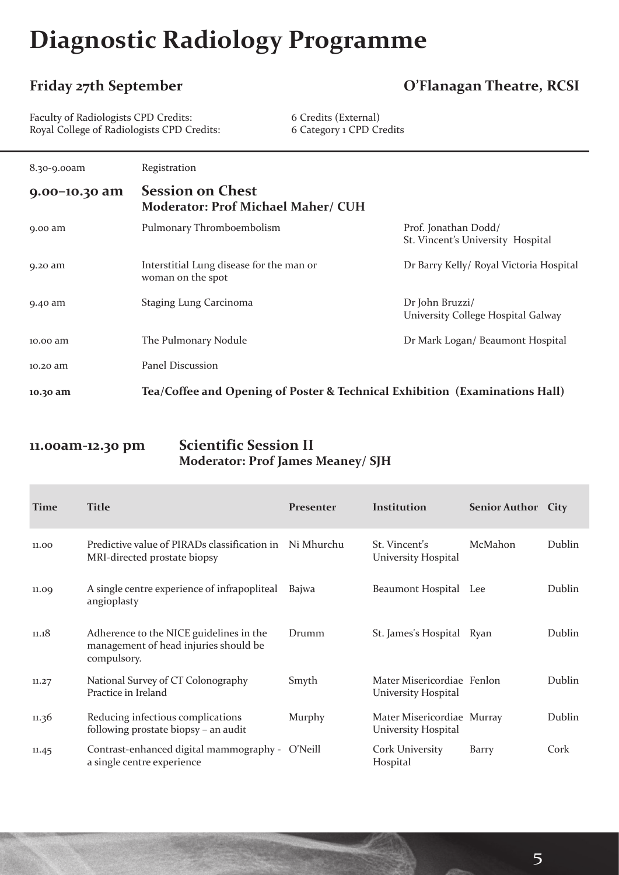# **Diagnostic Radiology Programme**

#### **Friday 27th September O'Flanagan Theatre, RCSI**

Faculty of Radiologists CPD Credits: 6 Credits (External) Royal College of Radiologists CPD Credits: 6 Category 1 CPD Credits

| 8.30-9.00am   | Registration                                                                |                                                           |
|---------------|-----------------------------------------------------------------------------|-----------------------------------------------------------|
| 9.00-10.30 am | <b>Session on Chest</b><br><b>Moderator: Prof Michael Maher/ CUH</b>        |                                                           |
| $9.00$ am     | Pulmonary Thromboembolism                                                   | Prof. Jonathan Dodd/<br>St. Vincent's University Hospital |
| 9.20 am       | Interstitial Lung disease for the man or<br>woman on the spot               | Dr Barry Kelly/ Royal Victoria Hospital                   |
| 9.40 am       | <b>Staging Lung Carcinoma</b>                                               | Dr John Bruzzi/<br>University College Hospital Galway     |
| 10.00 am      | The Pulmonary Nodule                                                        | Dr Mark Logan/ Beaumont Hospital                          |
| 10.20 am      | Panel Discussion                                                            |                                                           |
| 10.30 am      | Tea/Coffee and Opening of Poster & Technical Exhibition (Examinations Hall) |                                                           |

#### **11.00am-12.30 pm Scientific Session II Moderator: Prof James Meaney/ SJH**

| <b>Time</b> | <b>Title</b>                                                                                    | Presenter | Institution                                       | <b>Senior Author</b> | City   |
|-------------|-------------------------------------------------------------------------------------------------|-----------|---------------------------------------------------|----------------------|--------|
| 11.00       | Predictive value of PIRADs classification in Ni Mhurchu<br>MRI-directed prostate biopsy         |           | St. Vincent's<br>University Hospital              | McMahon              | Dublin |
| 11.09       | A single centre experience of infrapopliteal<br>angioplasty                                     | Bajwa     | Beaumont Hospital Lee                             |                      | Dublin |
| 11.18       | Adherence to the NICE guidelines in the<br>management of head injuries should be<br>compulsory. | Drumm     | St. James's Hospital Ryan                         |                      | Dublin |
| 11.27       | National Survey of CT Colonography<br>Practice in Ireland                                       | Smyth     | Mater Misericordiae Fenlon<br>University Hospital |                      | Dublin |
| 11.36       | Reducing infectious complications<br>following prostate biopsy - an audit                       | Murphy    | Mater Misericordiae Murray<br>University Hospital |                      | Dublin |
| 11.45       | Contrast-enhanced digital mammography - O'Neill<br>a single centre experience                   |           | <b>Cork University</b><br>Hospital                | Barry                | Cork   |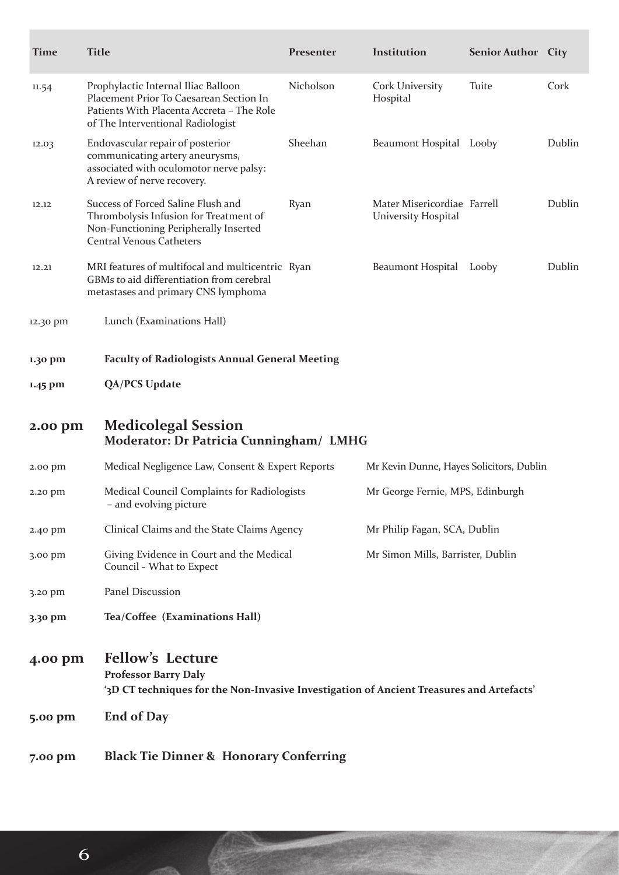| <b>Time</b> | <b>Title</b>                                                                                                                                                     | Presenter                                                                       | Institution                                        | Senior Author City |        |
|-------------|------------------------------------------------------------------------------------------------------------------------------------------------------------------|---------------------------------------------------------------------------------|----------------------------------------------------|--------------------|--------|
| 11.54       | Prophylactic Internal Iliac Balloon<br>Placement Prior To Caesarean Section In<br>Patients With Placenta Accreta - The Role<br>of The Interventional Radiologist | Nicholson                                                                       | Cork University<br>Hospital                        | Tuite              | Cork   |
| 12.03       | Endovascular repair of posterior<br>communicating artery aneurysms,<br>associated with oculomotor nerve palsy:<br>A review of nerve recovery.                    | Sheehan                                                                         | Beaumont Hospital Looby                            |                    | Dublin |
| 12.12       | Success of Forced Saline Flush and<br>Thrombolysis Infusion for Treatment of<br>Non-Functioning Peripherally Inserted<br><b>Central Venous Catheters</b>         | Ryan                                                                            | Mater Misericordiae Farrell<br>University Hospital |                    | Dublin |
| 12.21       | MRI features of multifocal and multicentric Ryan<br>GBMs to aid differentiation from cerebral<br>metastases and primary CNS lymphoma                             |                                                                                 | Beaumont Hospital                                  | Looby              | Dublin |
| 12.30 pm    | Lunch (Examinations Hall)                                                                                                                                        |                                                                                 |                                                    |                    |        |
| 1.30 pm     | <b>Faculty of Radiologists Annual General Meeting</b>                                                                                                            |                                                                                 |                                                    |                    |        |
| 1.45 pm     | <b>QA/PCS Update</b>                                                                                                                                             |                                                                                 |                                                    |                    |        |
| 2.00 pm     | <b>Medicolegal Session</b><br>Moderator: Dr Patricia Cunningham/ LMHG                                                                                            |                                                                                 |                                                    |                    |        |
| 2.00 pm     | Medical Negligence Law, Consent & Expert Reports                                                                                                                 |                                                                                 | Mr Kevin Dunne, Hayes Solicitors, Dublin           |                    |        |
| 2.20 pm     | - and evolving picture                                                                                                                                           | Medical Council Complaints for Radiologists<br>Mr George Fernie, MPS, Edinburgh |                                                    |                    |        |
| 2.40 pm     | Clinical Claims and the State Claims Agency                                                                                                                      |                                                                                 | Mr Philip Fagan, SCA, Dublin                       |                    |        |
| 3.00 pm     | Giving Evidence in Court and the Medical<br>Council - What to Expect                                                                                             |                                                                                 | Mr Simon Mills, Barrister, Dublin                  |                    |        |
| 3.20 pm     | Panel Discussion                                                                                                                                                 |                                                                                 |                                                    |                    |        |
| 3.30 pm     | Tea/Coffee (Examinations Hall)                                                                                                                                   |                                                                                 |                                                    |                    |        |
| 4.00 pm     | <b>Fellow's Lecture</b><br><b>Professor Barry Daly</b><br>'3D CT techniques for the Non-Invasive Investigation of Ancient Treasures and Artefacts'               |                                                                                 |                                                    |                    |        |
| 5.00 pm     | <b>End of Day</b>                                                                                                                                                |                                                                                 |                                                    |                    |        |
| 7.00 pm     | <b>Black Tie Dinner &amp; Honorary Conferring</b>                                                                                                                |                                                                                 |                                                    |                    |        |

6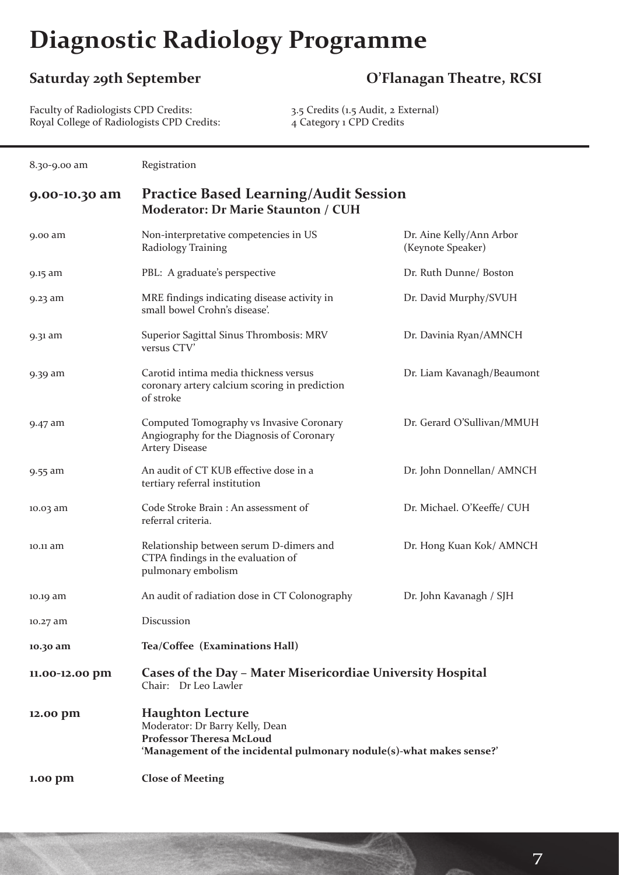# **Diagnostic Radiology Programme**

## **Saturday 29th September O'Flanagan Theatre, RCSI**

7

Faculty of Radiologists CPD Credits: 3.5 Credits (1.5 Audit, 2 External) Royal College of Radiologists CPD Credits: 4 Category 1 CPD Credits

| 8.30-9.00 am   | Registration                                                                                                                                                   |                                               |
|----------------|----------------------------------------------------------------------------------------------------------------------------------------------------------------|-----------------------------------------------|
| 9.00-10.30 am  | <b>Practice Based Learning/Audit Session</b><br><b>Moderator: Dr Marie Staunton / CUH</b>                                                                      |                                               |
| 9.00 am        | Non-interpretative competencies in US<br>Radiology Training                                                                                                    | Dr. Aine Kelly/Ann Arbor<br>(Keynote Speaker) |
| 9.15 am        | PBL: A graduate's perspective                                                                                                                                  | Dr. Ruth Dunne/ Boston                        |
| 9.23 am        | MRE findings indicating disease activity in<br>small bowel Crohn's disease'.                                                                                   | Dr. David Murphy/SVUH                         |
| 9.31 am        | Superior Sagittal Sinus Thrombosis: MRV<br>versus CTV'                                                                                                         | Dr. Davinia Ryan/AMNCH                        |
| 9.39 am        | Carotid intima media thickness versus<br>coronary artery calcium scoring in prediction<br>of stroke                                                            | Dr. Liam Kavanagh/Beaumont                    |
| 9.47 am        | Computed Tomography vs Invasive Coronary<br>Angiography for the Diagnosis of Coronary<br><b>Artery Disease</b>                                                 | Dr. Gerard O'Sullivan/MMUH                    |
| 9.55 am        | An audit of CT KUB effective dose in a<br>tertiary referral institution                                                                                        | Dr. John Donnellan/ AMNCH                     |
| 10.03 am       | Code Stroke Brain: An assessment of<br>referral criteria.                                                                                                      | Dr. Michael. O'Keeffe/ CUH                    |
| 10.11 am       | Relationship between serum D-dimers and<br>CTPA findings in the evaluation of<br>pulmonary embolism                                                            | Dr. Hong Kuan Kok/ AMNCH                      |
| 10.19 am       | An audit of radiation dose in CT Colonography                                                                                                                  | Dr. John Kavanagh / SJH                       |
| 10.27 am       | Discussion                                                                                                                                                     |                                               |
| 10.30 am       | Tea/Coffee (Examinations Hall)                                                                                                                                 |                                               |
| 11.00-12.00 pm | Cases of the Day - Mater Misericordiae University Hospital<br>Chair: Dr Leo Lawler                                                                             |                                               |
| 12.00 pm       | <b>Haughton Lecture</b><br>Moderator: Dr Barry Kelly, Dean<br>Professor Theresa McLoud<br>'Management of the incidental pulmonary nodule(s)-what makes sense?' |                                               |
| 1.00 pm        | <b>Close of Meeting</b>                                                                                                                                        |                                               |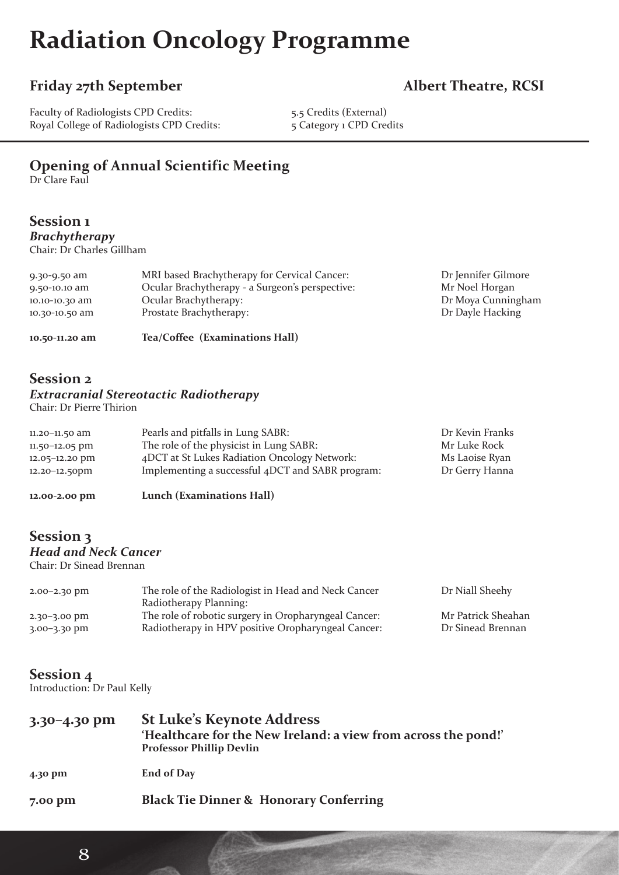# **Radiation Oncology Programme**

### Friday 27th September **Albert Theatre, RCSI**

Faculty of Radiologists CPD Credits: 5.5 Credits (External)<br>Royal College of Radiologists CPD Credits: 5 Category 1 CPD Credits Royal College of Radiologists CPD Credits:

### **Opening of Annual Scientific Meeting**

Dr Clare Faul

#### **Session 1** *Brachytherapy*

Chair: Dr Charles Gillham

| 10.50-11.20 am | Tea/Coffee (Examinations Hall)                  |                     |
|----------------|-------------------------------------------------|---------------------|
| 10.30-10.50 am | Prostate Brachytherapy:                         | Dr Dayle Hacking    |
| 10.10-10.30 am | Ocular Brachytherapy:                           | Dr Moya Cunningham  |
| 9.50-10.10 am  | Ocular Brachytherapy - a Surgeon's perspective: | Mr Noel Horgan      |
| 9.30-9.50 am   | MRI based Brachytherapy for Cervical Cancer:    | Dr Jennifer Gilmore |

#### **Session 2** *Extracranial Stereotactic Radiotherapy*

Chair: Dr Pierre Thirion

| 11.20-11.50 am     | Pearls and pitfalls in Lung SABR:                | Dr Kevin Franks |
|--------------------|--------------------------------------------------|-----------------|
| $11.50 - 12.05$ pm | The role of the physicist in Lung SABR:          | Mr Luke Rock    |
| 12.05-12.20 pm     | 4DCT at St Lukes Radiation Oncology Network:     | Ms Laoise Ryan  |
| $12.20 - 12.50$ pm | Implementing a successful 4DCT and SABR program: | Dr Gerry Hanna  |
|                    |                                                  |                 |

**12.00-2.00 pm Lunch (Examinations Hall)**

### **Session 3** *Head and Neck Cancer*

Chair: Dr Sinead Brennan

| $2.00 - 2.30$ pm | The role of the Radiologist in Head and Neck Cancer  | Dr Niall Sheehy    |
|------------------|------------------------------------------------------|--------------------|
|                  | Radiotherapy Planning:                               |                    |
| $2.30 - 3.00$ pm | The role of robotic surgery in Oropharyngeal Cancer: | Mr Patrick Sheahan |
| $3.00 - 3.30$ pm | Radiotherapy in HPV positive Oropharyngeal Cancer:   | Dr Sinead Brennan  |

#### **Session 4**

Introduction: Dr Paul Kelly

| $3.30 - 4.30$ pm | <b>St Luke's Keynote Address</b><br>'Healthcare for the New Ireland: a view from across the pond!'<br><b>Professor Phillip Devlin</b> |
|------------------|---------------------------------------------------------------------------------------------------------------------------------------|
| 4.30 pm          | <b>End of Day</b>                                                                                                                     |
| 7.00 pm          | <b>Black Tie Dinner &amp; Honorary Conferring</b>                                                                                     |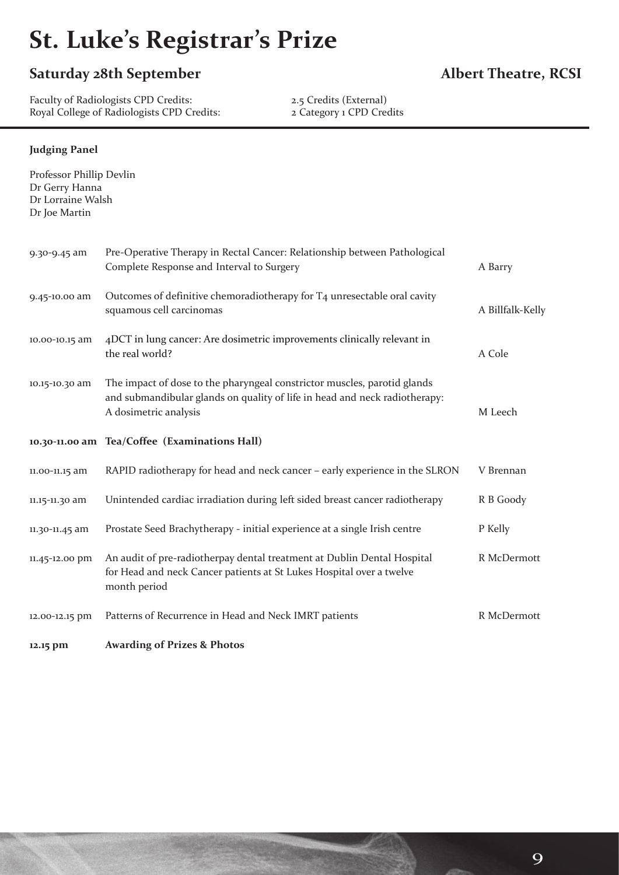# **St. Luke's Registrar's Prize**

### **Saturday 28th September Albert Theatre, RCSI**

Faculty of Radiologists CPD Credits: 2.5 Credits (External) Royal College of Radiologists CPD Credits: 2 Category 1 CPD Credits

#### **Judging Panel**

| Professor Phillip Devlin<br>Dr Gerry Hanna<br>Dr Lorraine Walsh<br>Dr Joe Martin |                                                                                                                                                                                 |                  |
|----------------------------------------------------------------------------------|---------------------------------------------------------------------------------------------------------------------------------------------------------------------------------|------------------|
| 9.30-9.45 am                                                                     | Pre-Operative Therapy in Rectal Cancer: Relationship between Pathological<br>Complete Response and Interval to Surgery                                                          | A Barry          |
| 9.45-10.00 am                                                                    | Outcomes of definitive chemoradiotherapy for T4 unresectable oral cavity<br>squamous cell carcinomas                                                                            | A Billfalk-Kelly |
| 10.00-10.15 am                                                                   | 4DCT in lung cancer: Are dosimetric improvements clinically relevant in<br>the real world?                                                                                      | A Cole           |
| 10.15-10.30 am                                                                   | The impact of dose to the pharyngeal constrictor muscles, parotid glands<br>and submandibular glands on quality of life in head and neck radiotherapy:<br>A dosimetric analysis | M Leech          |
|                                                                                  | 10.30-11.00 am Tea/Coffee (Examinations Hall)                                                                                                                                   |                  |
| 11.00-11.15 am                                                                   | RAPID radiotherapy for head and neck cancer - early experience in the SLRON                                                                                                     | V Brennan        |
| 11.15-11.30 am                                                                   | Unintended cardiac irradiation during left sided breast cancer radiotherapy                                                                                                     | R B Goody        |
| 11.30-11.45 am                                                                   | Prostate Seed Brachytherapy - initial experience at a single Irish centre                                                                                                       | P Kelly          |
| 11.45-12.00 pm                                                                   | An audit of pre-radiotherpay dental treatment at Dublin Dental Hospital<br>for Head and neck Cancer patients at St Lukes Hospital over a twelve<br>month period                 | R McDermott      |
| 12.00-12.15 pm                                                                   | Patterns of Recurrence in Head and Neck IMRT patients                                                                                                                           | R McDermott      |
| 12.15 pm                                                                         | <b>Awarding of Prizes &amp; Photos</b>                                                                                                                                          |                  |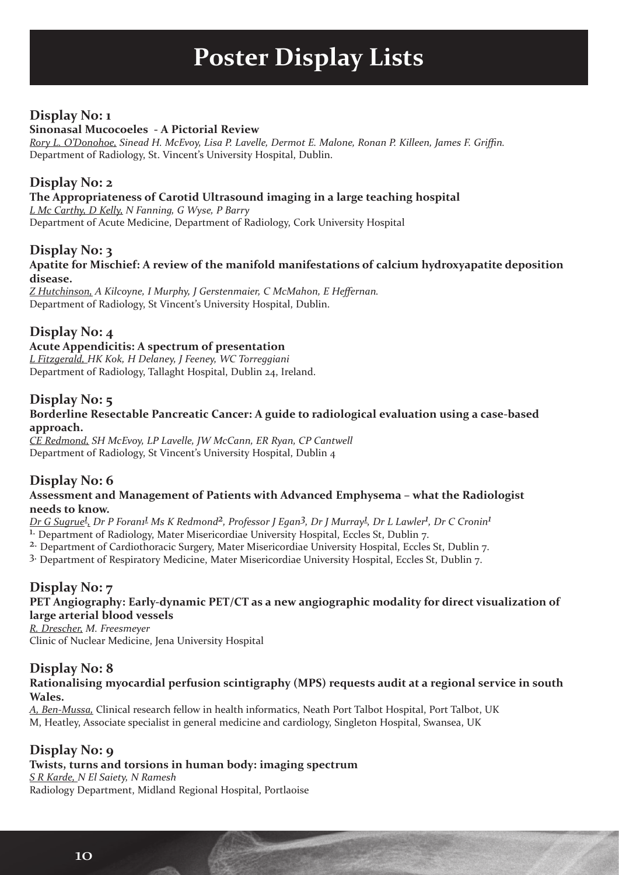# **Poster Display Lists**

### **Display No: 1**

#### **Sinonasal Mucocoeles - A Pictorial Review**

*Rory L. O'Donohoe, Sinead H. McEvoy, Lisa P. Lavelle, Dermot E. Malone, Ronan P. Killeen, James F. Griffin.* Department of Radiology, St. Vincent's University Hospital, Dublin.

#### **Display No: 2**

#### **The Appropriateness of Carotid Ultrasound imaging in a large teaching hospital**

*L Mc Carthy, D Kelly, N Fanning, G Wyse, P Barry* Department of Acute Medicine, Department of Radiology, Cork University Hospital

#### **Display No: 3**

#### **Apatite for Mischief: A review of the manifold manifestations of calcium hydroxyapatite deposition disease.**

*Z Hutchinson, A Kilcoyne, I Murphy, J Gerstenmaier, C McMahon, E Heffernan.* Department of Radiology, St Vincent's University Hospital, Dublin.

#### **Display No: 4**

#### **Acute Appendicitis: A spectrum of presentation**

*L Fitzgerald, HK Kok, H Delaney, J Feeney, WC Torreggiani* Department of Radiology, Tallaght Hospital, Dublin 24, Ireland.

#### **Display No: 5**

#### **Borderline Resectable Pancreatic Cancer: A guide to radiological evaluation using a case-based approach.**

*CE Redmond, SH McEvoy, LP Lavelle, JW McCann, ER Ryan, CP Cantwell* Department of Radiology, St Vincent's University Hospital, Dublin 4

#### **Display No: 6**

#### **Assessment and Management of Patients with Advanced Emphysema – what the Radiologist needs to know.**

*Dr G Sugrue1 , Dr P Foran11 Ms K Redmond2, Professor J Egan3, Dr J Murray1 , Dr L Lawler1 , Dr C Cronin1*

<sup>1.</sup> Department of Radiology, Mater Misericordiae University Hospital, Eccles St, Dublin 7.

2. Department of Cardiothoracic Surgery, Mater Misericordiae University Hospital, Eccles St, Dublin 7.

3. Department of Respiratory Medicine, Mater Misericordiae University Hospital, Eccles St, Dublin 7.

#### **Display No: 7**

#### **PET Angiography: Early-dynamic PET/CT as a new angiographic modality for direct visualization of large arterial blood vessels**

*R. Drescher, M. Freesmeyer* Clinic of Nuclear Medicine, Jena University Hospital

#### **Display No: 8**

#### **Rationalising myocardial perfusion scintigraphy (MPS) requests audit at a regional service in south Wales.**

*A, Ben-Mussa,* Clinical research fellow in health informatics, Neath Port Talbot Hospital, Port Talbot, UK M, Heatley, Associate specialist in general medicine and cardiology, Singleton Hospital, Swansea, UK

#### **Display No: 9**

#### **Twists, turns and torsions in human body: imaging spectrum**

*S R Karde, N El Saiety, N Ramesh* Radiology Department, Midland Regional Hospital, Portlaoise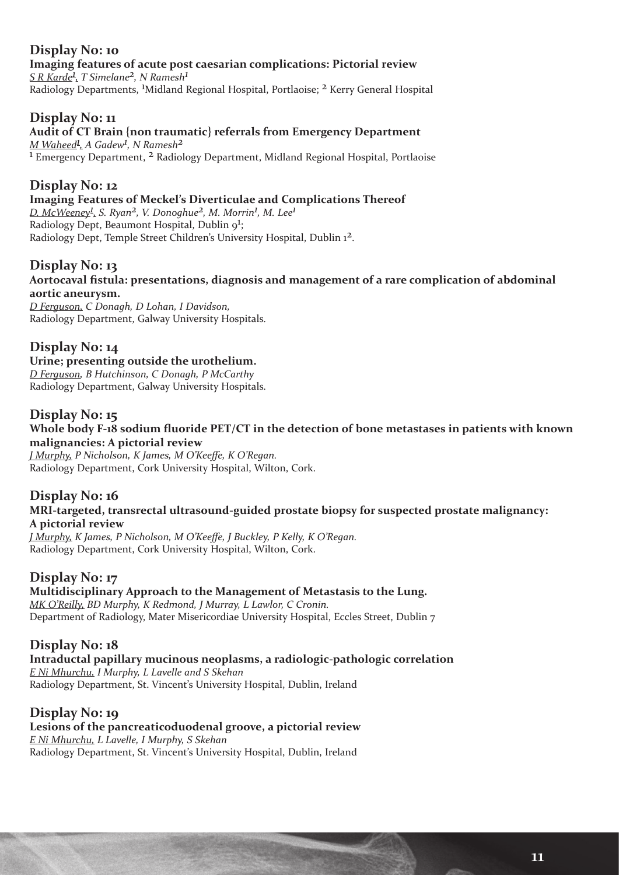#### **Display No: 10 Imaging features of acute post caesarian complications: Pictorial review** *S R Karde1 , T Simelane2, N Ramesh1* Radiology Departments, 1 Midland Regional Hospital, Portlaoise; 2 Kerry General Hospital

#### **Display No: 11**

#### **Audit of CT Brain {non traumatic} referrals from Emergency Department**

*M Waheed1 , A Gadew1 , N Ramesh2* 1 Emergency Department, 2 Radiology Department, Midland Regional Hospital, Portlaoise

#### **Display No: 12**

#### **Imaging Features of Meckel's Diverticulae and Complications Thereof**

*D. McWeeney1 , S. Ryan2, V. Donoghue2, M. Morrin1 , M. Lee1* Radiology Dept, Beaumont Hospital, Dublin 9<sup>1</sup>; Radiology Dept, Temple Street Children's University Hospital, Dublin 12.

#### **Display No: 13**

#### **Aortocaval fistula: presentations, diagnosis and management of a rare complication of abdominal aortic aneurysm.**

*D Ferguson, C Donagh, D Lohan, I Davidson,*  Radiology Department, Galway University Hospitals.

### **Display No: 14**

**Urine; presenting outside the urothelium.** *D Ferguson, B Hutchinson, C Donagh, P McCarthy* Radiology Department, Galway University Hospitals.

#### **Display No: 15**

**Whole body F-18 sodium fluoride PET/CT in the detection of bone metastases in patients with known malignancies: A pictorial review**

*J Murphy, P Nicholson, K James, M O'Keeffe, K O'Regan.* Radiology Department, Cork University Hospital, Wilton, Cork.

#### **Display No: 16**

#### **MRI-targeted, transrectal ultrasound-guided prostate biopsy for suspected prostate malignancy: A pictorial review**

*J Murphy, K James, P Nicholson, M O'Keeffe, J Buckley, P Kelly, K O'Regan.* Radiology Department, Cork University Hospital, Wilton, Cork.

#### **Display No: 17**

### **Multidisciplinary Approach to the Management of Metastasis to the Lung.** *MK O'Reilly, BD Murphy, K Redmond, J Murray, L Lawlor, C Cronin.*

Department of Radiology, Mater Misericordiae University Hospital, Eccles Street, Dublin 7

#### **Display No: 18**

**Intraductal papillary mucinous neoplasms, a radiologic-pathologic correlation** *E Ni Mhurchu, I Murphy, L Lavelle and S Skehan*

Radiology Department, St. Vincent's University Hospital, Dublin, Ireland

#### **Display No: 19**

**Lesions of the pancreaticoduodenal groove, a pictorial review** *E Ni Mhurchu, L Lavelle, I Murphy, S Skehan* Radiology Department, St. Vincent's University Hospital, Dublin, Ireland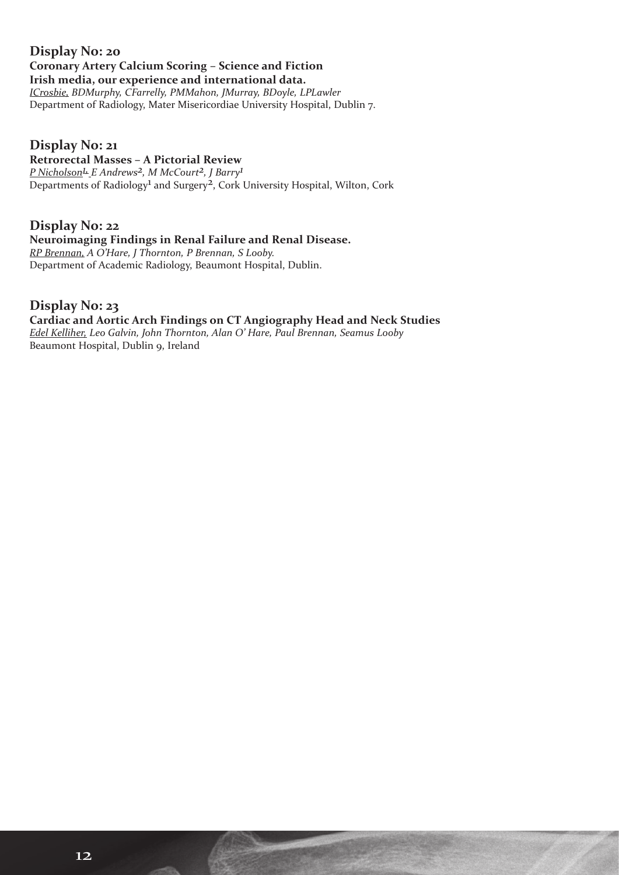#### **Display No: 20 Coronary Artery Calcium Scoring – Science and Fiction Irish media, our experience and international data.**

*ICrosbie, BDMurphy, CFarrelly, PMMahon, JMurray, BDoyle, LPLawler* Department of Radiology, Mater Misericordiae University Hospital, Dublin 7.

#### **Display No: 21**

#### **Retrorectal Masses – A Pictorial Review**

*P Nicholson1, E Andrews2, M McCourt2, J Barry1* Departments of Radiology<sup>1</sup> and Surgery<sup>2</sup>, Cork University Hospital, Wilton, Cork

#### **Display No: 22**

#### **Neuroimaging Findings in Renal Failure and Renal Disease.**

*RP Brennan, A O'Hare, J Thornton, P Brennan, S Looby.* Department of Academic Radiology, Beaumont Hospital, Dublin.

#### **Display No: 23**

### **Cardiac and Aortic Arch Findings on CT Angiography Head and Neck Studies**

*Edel Kelliher, Leo Galvin, John Thornton, Alan O' Hare, Paul Brennan, Seamus Looby* Beaumont Hospital, Dublin 9, Ireland